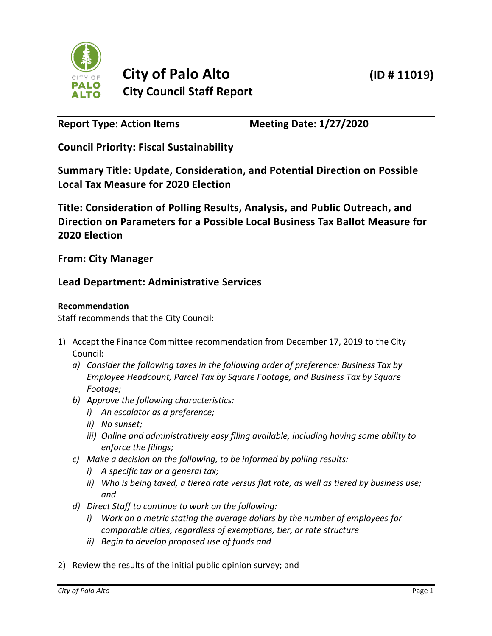

**Report Type: Action Items Meeting Date: 1/27/2020**

**Council Priority: Fiscal Sustainability**

**Summary Title: Update, Consideration, and Potential Direction on Possible Local Tax Measure for 2020 Election**

**Title: Consideration of Polling Results, Analysis, and Public Outreach, and Direction on Parameters for a Possible Local Business Tax Ballot Measure for 2020 Election**

**From: City Manager**

# **Lead Department: Administrative Services**

## **Recommendation**

Staff recommends that the City Council:

- 1) Accept the Finance Committee recommendation from December 17, 2019 to the City Council:
	- *a) Consider the following taxes in the following order of preference: Business Tax by Employee Headcount, Parcel Tax by Square Footage, and Business Tax by Square Footage;*
	- *b) Approve the following characteristics:*
		- *i) An escalator as a preference;*
		- *ii) No sunset;*
		- *iii) Online and administratively easy filing available, including having some ability to enforce the filings;*
	- *c) Make a decision on the following, to be informed by polling results:*
		- *i) A specific tax or a general tax;*
		- *ii) Who is being taxed, a tiered rate versus flat rate, as well as tiered by business use; and*
	- *d) Direct Staff to continue to work on the following:*
		- *i) Work on a metric stating the average dollars by the number of employees for comparable cities, regardless of exemptions, tier, or rate structure*
		- *ii) Begin to develop proposed use of funds and*
- 2) Review the results of the initial public opinion survey; and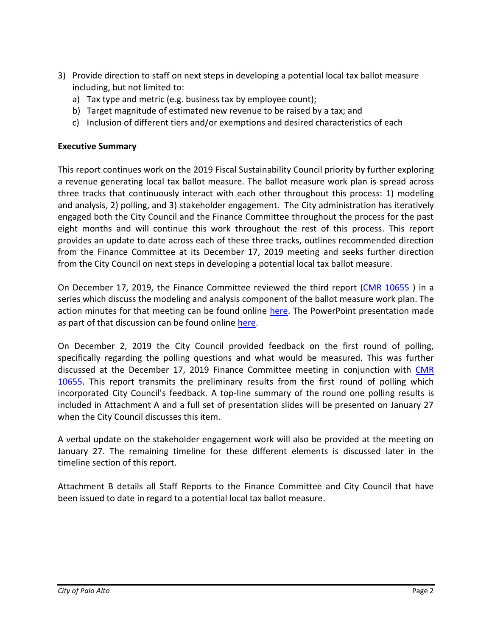- 3) Provide direction to staff on next steps in developing a potential local tax ballot measure including, but not limited to:
	- a) Tax type and metric (e.g. business tax by employee count);
	- b) Target magnitude of estimated new revenue to be raised by a tax; and
	- c) Inclusion of different tiers and/or exemptions and desired characteristics of each

## **Executive Summary**

This report continues work on the 2019 Fiscal Sustainability Council priority by further exploring a revenue generating local tax ballot measure. The ballot measure work plan is spread across three tracks that continuously interact with each other throughout this process: 1) modeling and analysis, 2) polling, and 3) stakeholder engagement. The City administration has iteratively engaged both the City Council and the Finance Committee throughout the process for the past eight months and will continue this work throughout the rest of this process. This report provides an update to date across each of these three tracks, outlines recommended direction from the Finance Committee at its December 17, 2019 meeting and seeks further direction from the City Council on next steps in developing a potential local tax ballot measure.

On December 17, 2019, the Finance Committee reviewed the third report [\(CMR 10655](https://www.cityofpaloalto.org/civicax/filebank/documents/74437) ) in a series which discuss the modeling and analysis component of the ballot measure work plan. The action minutes for that meeting can be found online [here.](https://www.cityofpaloalto.org/civicax/filebank/blobdload.aspx?t=70433.14&BlobID=74823) The PowerPoint presentation made as part of that discussion can be found online [here.](https://www.cityofpaloalto.org/civicax/filebank/blobdload.aspx?t=44707.88&BlobID=74754)

On December 2, 2019 the City Council provided feedback on the first round of polling, specifically regarding the polling questions and what would be measured. This was further discussed at the December 17, 2019 Finance Committee meeting in conjunction with [CMR](https://www.cityofpaloalto.org/civicax/filebank/documents/74437)  [10655.](https://www.cityofpaloalto.org/civicax/filebank/documents/74437) This report transmits the preliminary results from the first round of polling which incorporated City Council's feedback. A top-line summary of the round one polling results is included in Attachment A and a full set of presentation slides will be presented on January 27 when the City Council discusses this item.

A verbal update on the stakeholder engagement work will also be provided at the meeting on January 27. The remaining timeline for these different elements is discussed later in the timeline section of this report.

Attachment B details all Staff Reports to the Finance Committee and City Council that have been issued to date in regard to a potential local tax ballot measure.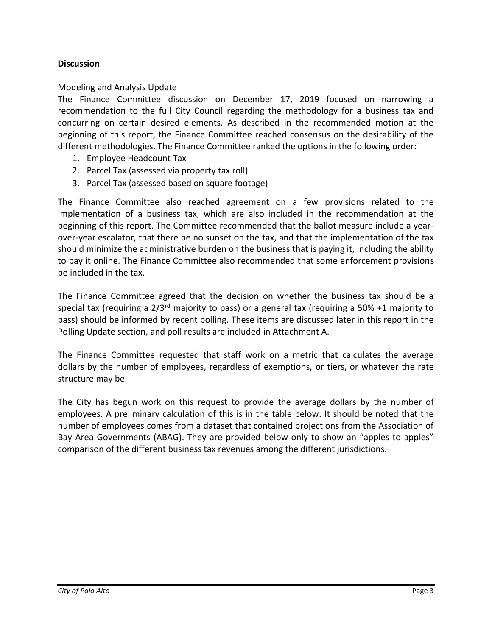## **Discussion**

### Modeling and Analysis Update

The Finance Committee discussion on December 17, 2019 focused on narrowing a recommendation to the full City Council regarding the methodology for a business tax and concurring on certain desired elements. As described in the recommended motion at the beginning of this report, the Finance Committee reached consensus on the desirability of the different methodologies. The Finance Committee ranked the options in the following order:

- 1. Employee Headcount Tax
- 2. Parcel Tax (assessed via property tax roll)
- 3. Parcel Tax (assessed based on square footage)

The Finance Committee also reached agreement on a few provisions related to the implementation of a business tax, which are also included in the recommendation at the beginning of this report. The Committee recommended that the ballot measure include a yearover-year escalator, that there be no sunset on the tax, and that the implementation of the tax should minimize the administrative burden on the business that is paying it, including the ability to pay it online. The Finance Committee also recommended that some enforcement provisions be included in the tax.

The Finance Committee agreed that the decision on whether the business tax should be a special tax (requiring a  $2/3^{rd}$  majority to pass) or a general tax (requiring a 50% +1 majority to pass) should be informed by recent polling. These items are discussed later in this report in the Polling Update section, and poll results are included in Attachment A.

The Finance Committee requested that staff work on a metric that calculates the average dollars by the number of employees, regardless of exemptions, or tiers, or whatever the rate structure may be.

The City has begun work on this request to provide the average dollars by the number of employees. A preliminary calculation of this is in the table below. It should be noted that the number of employees comes from a dataset that contained projections from the Association of Bay Area Governments (ABAG). They are provided below only to show an "apples to apples" comparison of the different business tax revenues among the different jurisdictions.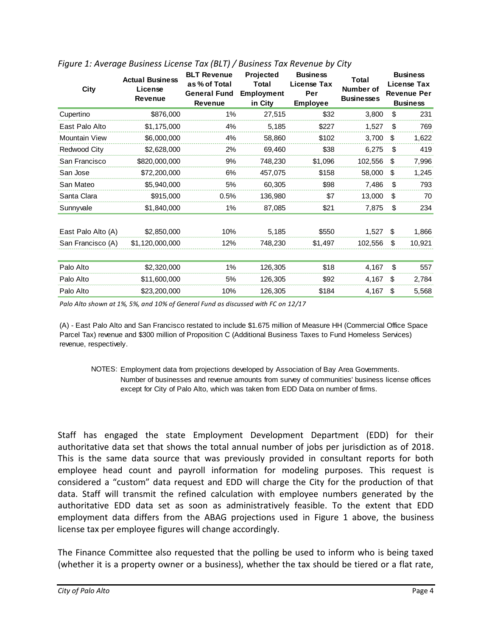| <b>Actual Business</b><br>License<br><b>Revenue</b> | <b>BLT Revenue</b><br>as % of Total<br><b>General Fund</b><br><b>Revenue</b> | Projected<br><b>Total</b><br><b>Employment</b><br>in City | <b>Business</b><br>License Tax<br>Per<br><b>Employee</b> | Total<br>Number of<br><b>Businesses</b> |                                  | <b>Business</b><br>License Tax<br><b>Revenue Per</b><br><b>Business</b>             |
|-----------------------------------------------------|------------------------------------------------------------------------------|-----------------------------------------------------------|----------------------------------------------------------|-----------------------------------------|----------------------------------|-------------------------------------------------------------------------------------|
| \$876,000                                           | 1%                                                                           | 27,515                                                    | \$32                                                     |                                         | \$                               | 231                                                                                 |
| \$1,175,000                                         | 4%                                                                           | 5,185                                                     | \$227                                                    | 1,527                                   | \$                               | 769                                                                                 |
| \$6,000,000                                         | 4%                                                                           | 58,860                                                    | \$102                                                    |                                         | \$                               | 1,622                                                                               |
| \$2,628,000                                         | 2%                                                                           | 69,460                                                    | \$38                                                     |                                         | \$                               | 419                                                                                 |
| \$820,000,000                                       | 9%                                                                           | 748,230                                                   | \$1,096                                                  |                                         | \$                               | 7,996                                                                               |
| \$72,200,000                                        | 6%                                                                           | 457,075                                                   | \$158                                                    |                                         | \$                               | 1,245                                                                               |
| \$5,940,000                                         | 5%                                                                           | 60,305                                                    | \$98                                                     |                                         | \$                               | 793                                                                                 |
| \$915,000                                           | 0.5%                                                                         | 136,980                                                   | \$7                                                      |                                         | \$                               | 70                                                                                  |
| \$1,840,000                                         | 1%                                                                           | 87,085                                                    | \$21                                                     |                                         | \$                               | 234                                                                                 |
| \$2,850,000                                         | 10%                                                                          | 5,185                                                     | \$550                                                    |                                         | \$                               | 1,866                                                                               |
| San Francisco (A)<br>\$1,120,000,000                | 12%                                                                          | 748,230                                                   | \$1,497                                                  |                                         | \$                               | 10,921                                                                              |
| \$2,320,000                                         | $1\%$                                                                        | 126,305                                                   | \$18                                                     |                                         | \$                               | 557                                                                                 |
| \$11,600,000                                        | 5%                                                                           | 126,305                                                   | \$92                                                     |                                         | \$                               | 2,784                                                                               |
| \$23,200,000                                        | 10%                                                                          | 126,305                                                   | \$184                                                    |                                         | \$                               | 5,568                                                                               |
|                                                     |                                                                              |                                                           |                                                          |                                         | 3,800<br>6,275<br>4,167<br>4,167 | 3,700<br>102,556<br>58,000<br>7,486<br>13,000<br>7,875<br>1,527<br>102,556<br>4,167 |

## *Figure 1: Average Business License Tax (BLT) / Business Tax Revenue by City*

*Palo Alto shown at 1%, 5%, and 10% of General Fund as discussed with FC on 12/17*

(A) - East Palo Alto and San Francisco restated to include \$1.675 million of Measure HH (Commercial Office Space Parcel Tax) revenue and \$300 million of Proposition C (Additional Business Taxes to Fund Homeless Services) revenue, respectively.

NOTES: Employment data from projections developed by Association of Bay Area Governments. Number of businesses and revenue amounts from survey of communities' business license offices except for City of Palo Alto, which was taken from EDD Data on number of firms.

Staff has engaged the state Employment Development Department (EDD) for their authoritative data set that shows the total annual number of jobs per jurisdiction as of 2018. This is the same data source that was previously provided in consultant reports for both employee head count and payroll information for modeling purposes. This request is considered a "custom" data request and EDD will charge the City for the production of that data. Staff will transmit the refined calculation with employee numbers generated by the authoritative EDD data set as soon as administratively feasible. To the extent that EDD employment data differs from the ABAG projections used in Figure 1 above, the business license tax per employee figures will change accordingly.

The Finance Committee also requested that the polling be used to inform who is being taxed (whether it is a property owner or a business), whether the tax should be tiered or a flat rate,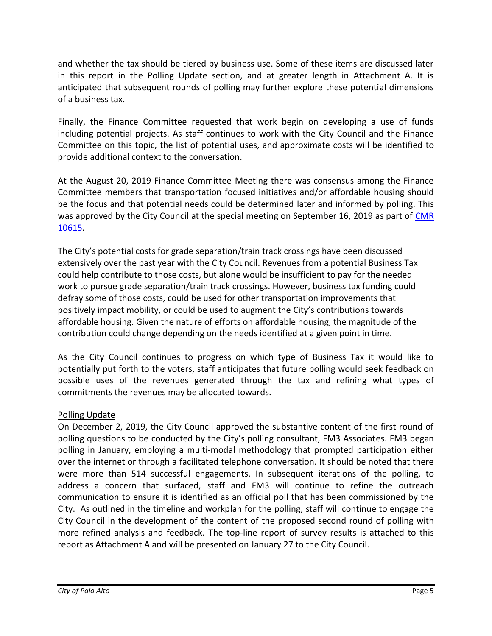and whether the tax should be tiered by business use. Some of these items are discussed later in this report in the Polling Update section, and at greater length in Attachment A. It is anticipated that subsequent rounds of polling may further explore these potential dimensions of a business tax.

Finally, the Finance Committee requested that work begin on developing a use of funds including potential projects. As staff continues to work with the City Council and the Finance Committee on this topic, the list of potential uses, and approximate costs will be identified to provide additional context to the conversation.

At the August 20, 2019 Finance Committee Meeting there was consensus among the Finance Committee members that transportation focused initiatives and/or affordable housing should be the focus and that potential needs could be determined later and informed by polling. This was approved by the City Council at the special meeting on September 16, 2019 as part of CMR [10615.](https://www.cityofpaloalto.org/civicax/filebank/documents/73287)

The City's potential costs for grade separation/train track crossings have been discussed extensively over the past year with the City Council. Revenues from a potential Business Tax could help contribute to those costs, but alone would be insufficient to pay for the needed work to pursue grade separation/train track crossings. However, business tax funding could defray some of those costs, could be used for other transportation improvements that positively impact mobility, or could be used to augment the City's contributions towards affordable housing. Given the nature of efforts on affordable housing, the magnitude of the contribution could change depending on the needs identified at a given point in time.

As the City Council continues to progress on which type of Business Tax it would like to potentially put forth to the voters, staff anticipates that future polling would seek feedback on possible uses of the revenues generated through the tax and refining what types of commitments the revenues may be allocated towards.

## Polling Update

On December 2, 2019, the City Council approved the substantive content of the first round of polling questions to be conducted by the City's polling consultant, FM3 Associates. FM3 began polling in January, employing a multi-modal methodology that prompted participation either over the internet or through a facilitated telephone conversation. It should be noted that there were more than 514 successful engagements. In subsequent iterations of the polling, to address a concern that surfaced, staff and FM3 will continue to refine the outreach communication to ensure it is identified as an official poll that has been commissioned by the City. As outlined in the timeline and workplan for the polling, staff will continue to engage the City Council in the development of the content of the proposed second round of polling with more refined analysis and feedback. The top-line report of survey results is attached to this report as Attachment A and will be presented on January 27 to the City Council.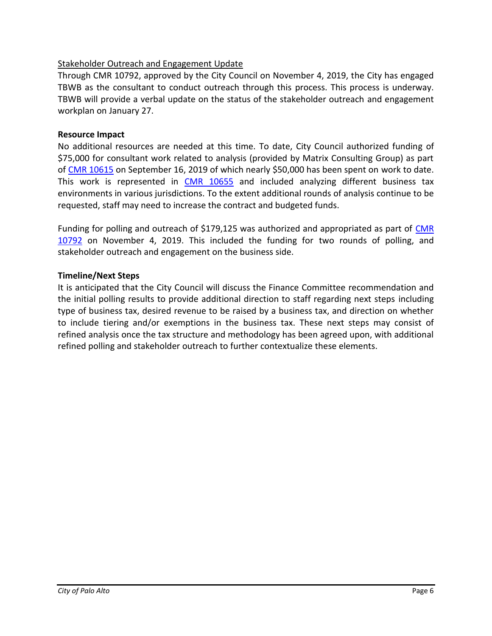## Stakeholder Outreach and Engagement Update

Through CMR 10792, approved by the City Council on November 4, 2019, the City has engaged TBWB as the consultant to conduct outreach through this process. This process is underway. TBWB will provide a verbal update on the status of the stakeholder outreach and engagement workplan on January 27.

## **Resource Impact**

No additional resources are needed at this time. To date, City Council authorized funding of \$75,000 for consultant work related to analysis (provided by Matrix Consulting Group) as part of [CMR 10615](https://www.cityofpaloalto.org/civicax/filebank/documents/73287) on September 16, 2019 of which nearly \$50,000 has been spent on work to date. This work is represented in [CMR 10655](https://www.cityofpaloalto.org/gov/agendas/city_managers_reports/2019.asp) and included analyzing different business tax environments in various jurisdictions. To the extent additional rounds of analysis continue to be requested, staff may need to increase the contract and budgeted funds.

Funding for polling and outreach of \$179,125 was authorized and appropriated as part of CMR [10792](https://www.cityofpaloalto.org/civicax/filebank/documents/73803) on November 4, 2019. This included the funding for two rounds of polling, and stakeholder outreach and engagement on the business side.

## **Timeline/Next Steps**

It is anticipated that the City Council will discuss the Finance Committee recommendation and the initial polling results to provide additional direction to staff regarding next steps including type of business tax, desired revenue to be raised by a business tax, and direction on whether to include tiering and/or exemptions in the business tax. These next steps may consist of refined analysis once the tax structure and methodology has been agreed upon, with additional refined polling and stakeholder outreach to further contextualize these elements.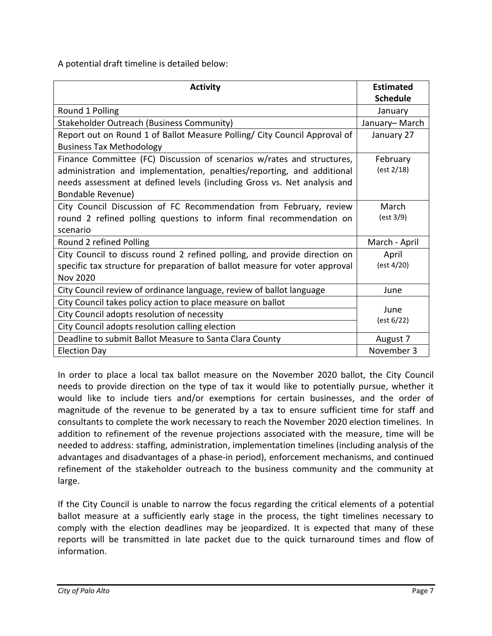A potential draft timeline is detailed below:

| <b>Activity</b>                                                             | <b>Estimated</b> |
|-----------------------------------------------------------------------------|------------------|
|                                                                             | <b>Schedule</b>  |
| Round 1 Polling                                                             | January          |
| Stakeholder Outreach (Business Community)                                   | January-March    |
| Report out on Round 1 of Ballot Measure Polling/ City Council Approval of   | January 27       |
| <b>Business Tax Methodology</b>                                             |                  |
| Finance Committee (FC) Discussion of scenarios w/rates and structures,      | February         |
| administration and implementation, penalties/reporting, and additional      | (est 2/18)       |
| needs assessment at defined levels (including Gross vs. Net analysis and    |                  |
| <b>Bondable Revenue)</b>                                                    |                  |
| City Council Discussion of FC Recommendation from February, review          | March            |
| round 2 refined polling questions to inform final recommendation on         | (est 3/9)        |
| scenario                                                                    |                  |
| Round 2 refined Polling                                                     | March - April    |
| City Council to discuss round 2 refined polling, and provide direction on   | April            |
| specific tax structure for preparation of ballot measure for voter approval | (est 4/20)       |
| <b>Nov 2020</b>                                                             |                  |
| City Council review of ordinance language, review of ballot language        | June             |
| City Council takes policy action to place measure on ballot                 |                  |
| City Council adopts resolution of necessity                                 | June             |
| City Council adopts resolution calling election                             | (est 6/22)       |
| Deadline to submit Ballot Measure to Santa Clara County                     | August 7         |
| <b>Election Day</b>                                                         | November 3       |

In order to place a local tax ballot measure on the November 2020 ballot, the City Council needs to provide direction on the type of tax it would like to potentially pursue, whether it would like to include tiers and/or exemptions for certain businesses, and the order of magnitude of the revenue to be generated by a tax to ensure sufficient time for staff and consultants to complete the work necessary to reach the November 2020 election timelines. In addition to refinement of the revenue projections associated with the measure, time will be needed to address: staffing, administration, implementation timelines (including analysis of the advantages and disadvantages of a phase-in period), enforcement mechanisms, and continued refinement of the stakeholder outreach to the business community and the community at large.

If the City Council is unable to narrow the focus regarding the critical elements of a potential ballot measure at a sufficiently early stage in the process, the tight timelines necessary to comply with the election deadlines may be jeopardized. It is expected that many of these reports will be transmitted in late packet due to the quick turnaround times and flow of information.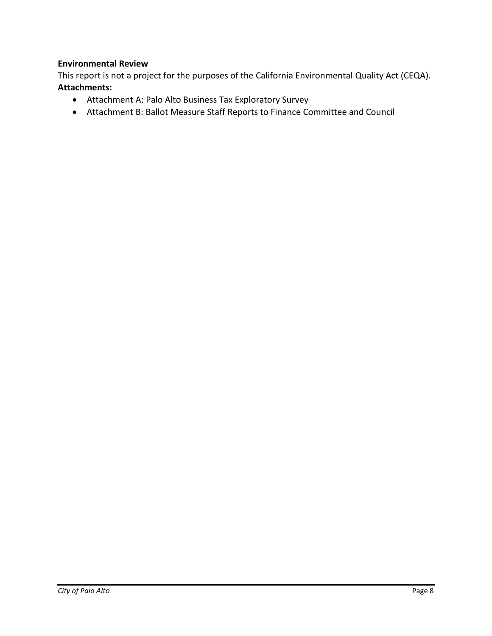## **Environmental Review**

This report is not a project for the purposes of the California Environmental Quality Act (CEQA). **Attachments:**

- Attachment A: Palo Alto Business Tax Exploratory Survey
- Attachment B: Ballot Measure Staff Reports to Finance Committee and Council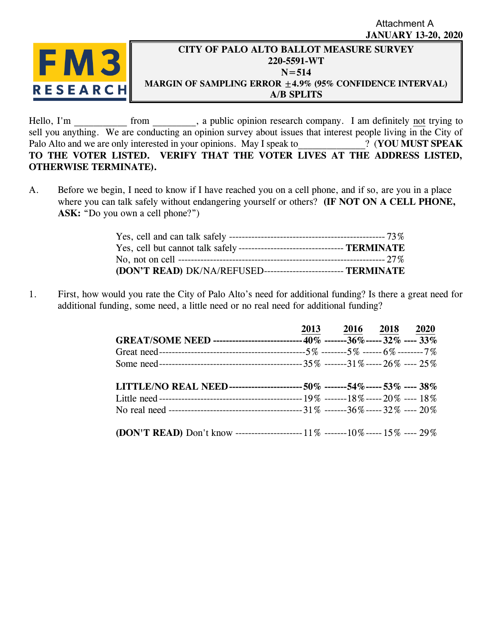## **JANUARY 13-20, 2020** Attachment A



# **CITY OF PALO ALTO BALLOT MEASURE SURVEY 220-5591-WT N=514 MARGIN OF SAMPLING ERROR ±4.9% (95% CONFIDENCE INTERVAL) A/B SPLITS**

Hello, I'm from from , a public opinion research company. I am definitely not trying to sell you anything. We are conducting an opinion survey about issues that interest people living in the City of Palo Alto and we are only interested in your opinions. May I speak to  $\cdot$  (**YOU MUST SPEAK TO THE VOTER LISTED. VERIFY THAT THE VOTER LIVES AT THE ADDRESS LISTED, OTHERWISE TERMINATE).**

A. Before we begin, I need to know if I have reached you on a cell phone, and if so, are you in a place where you can talk safely without endangering yourself or others? **(IF NOT ON A CELL PHONE, ASK:** "Do you own a cell phone?")

| Yes, cell but cannot talk safely ---------------------------------- TERMINATE |  |
|-------------------------------------------------------------------------------|--|
|                                                                               |  |
| (DON'T READ) DK/NA/REFUSED------------------------- TERMINATE                 |  |

1. First, how would you rate the City of Palo Alto's need for additional funding? Is there a great need for additional funding, some need, a little need or no real need for additional funding?

|                                                                                    | 2013 2016 2018 2020 |  |
|------------------------------------------------------------------------------------|---------------------|--|
| GREAT/SOME NEED ---------------------------- 40% -------36% ----- 32% ---- 33%     |                     |  |
|                                                                                    |                     |  |
|                                                                                    |                     |  |
|                                                                                    |                     |  |
| LITTLE/NO REAL NEED------------------------ 50% -------54%----- 53% ---- 38%       |                     |  |
|                                                                                    |                     |  |
|                                                                                    |                     |  |
|                                                                                    |                     |  |
| (DON'T READ) Don't know -----------------------------------10% ------15% ----- 29% |                     |  |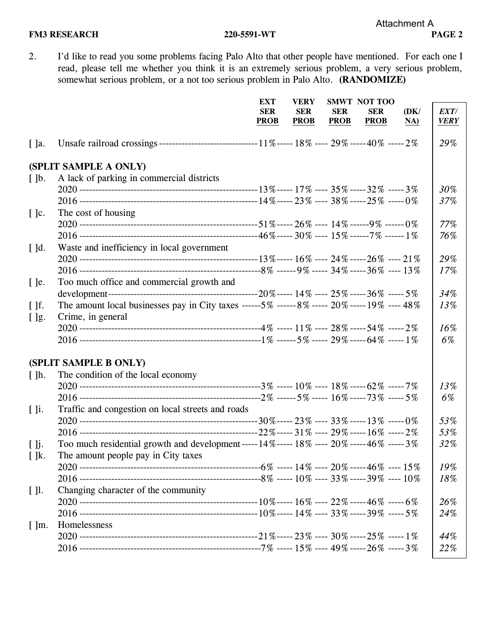2. I'd like to read you some problems facing Palo Alto that other people have mentioned. For each one I read, please tell me whether you think it is an extremely serious problem, a very serious problem, somewhat serious problem, or a not too serious problem in Palo Alto. **(RANDOMIZE)**

|                          |                                                                                                            | <b>EXT</b>  | <b>VERY</b> |             | <b>SMWT NOT TOO</b> |      |             |
|--------------------------|------------------------------------------------------------------------------------------------------------|-------------|-------------|-------------|---------------------|------|-------------|
|                          |                                                                                                            | <b>SER</b>  | <b>SER</b>  | <b>SER</b>  | <b>SER</b>          | (DK/ | EXT/        |
|                          |                                                                                                            | <b>PROB</b> | <b>PROB</b> | <b>PROB</b> | <b>PROB</b>         | NA)  | <b>VERY</b> |
| $\lceil$ ]a.             |                                                                                                            |             |             |             |                     |      | 29%         |
|                          | (SPLIT SAMPLE A ONLY)                                                                                      |             |             |             |                     |      |             |
| $\lceil \cdot \rceil$    | A lack of parking in commercial districts                                                                  |             |             |             |                     |      |             |
|                          |                                                                                                            |             |             |             |                     |      | 30%         |
|                          |                                                                                                            |             |             |             |                     |      | 37%         |
| $[\cdot]$ c.             | The cost of housing                                                                                        |             |             |             |                     |      |             |
|                          |                                                                                                            |             |             |             |                     |      | 77%         |
|                          |                                                                                                            |             |             |             |                     |      | 76%         |
| $\lceil$ d.              | Waste and inefficiency in local government                                                                 |             |             |             |                     |      |             |
|                          |                                                                                                            |             |             |             |                     |      | 29%         |
|                          |                                                                                                            |             |             |             |                     |      | 17%         |
| $[$ ]e.                  | Too much office and commercial growth and                                                                  |             |             |             |                     |      |             |
|                          |                                                                                                            |             |             |             |                     |      | 34%         |
| $\lceil \cdot \rceil$    | The amount local businesses pay in City taxes ------5% ------8% ----- 20% ----- 19% ---- 48%               |             |             |             |                     |      | 13%         |
| []g.                     | Crime, in general                                                                                          |             |             |             |                     |      |             |
|                          |                                                                                                            |             |             |             |                     |      | 16%         |
|                          |                                                                                                            |             |             |             |                     |      | 6%          |
|                          | (SPLIT SAMPLE B ONLY)                                                                                      |             |             |             |                     |      |             |
| $\lceil \cdot \rceil$ h. | The condition of the local economy                                                                         |             |             |             |                     |      |             |
|                          |                                                                                                            |             |             |             |                     |      | 13%         |
|                          |                                                                                                            |             |             |             |                     |      | 6%          |
| $[ ]$ i.                 | Traffic and congestion on local streets and roads                                                          |             |             |             |                     |      |             |
|                          |                                                                                                            |             |             |             |                     |      | 53%         |
|                          |                                                                                                            |             |             |             |                     |      | 53%         |
| [ ]                      | Too much residential growth and development ----- $14\%$ ----- $18\%$ ---- $20\%$ ----- $46\%$ ----- $3\%$ |             |             |             |                     |      | 32%         |
| $[$ ]k.                  | The amount people pay in City taxes                                                                        |             |             |             |                     |      |             |
|                          |                                                                                                            |             |             |             |                     |      | 19%         |
|                          |                                                                                                            |             |             |             |                     |      | 18%         |
| $\lceil$ 11.             | Changing character of the community                                                                        |             |             |             |                     |      |             |
|                          |                                                                                                            |             |             |             |                     |      | 26%         |
|                          |                                                                                                            |             |             |             |                     |      | 24%         |
| $\lceil \cdot \rceil$ m. | Homelessness                                                                                               |             |             |             |                     |      |             |
|                          |                                                                                                            |             |             |             |                     |      | 44%         |
|                          |                                                                                                            |             |             |             |                     |      | 22%         |
|                          |                                                                                                            |             |             |             |                     |      |             |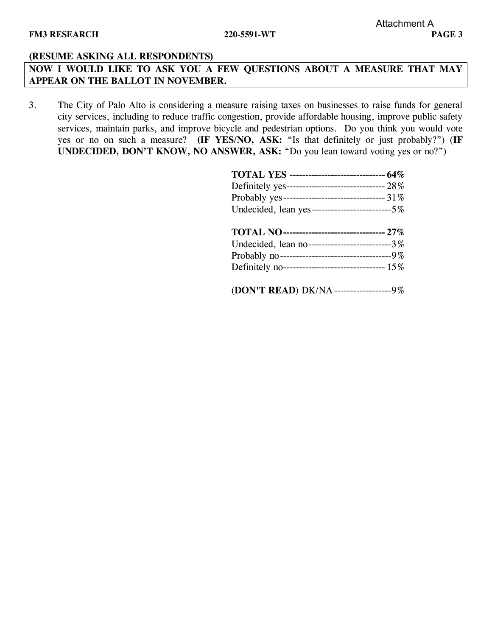**NOW I WOULD LIKE TO ASK YOU A FEW QUESTIONS ABOUT A MEASURE THAT MAY APPEAR ON THE BALLOT IN NOVEMBER.**

3. The City of Palo Alto is considering a measure raising taxes on businesses to raise funds for general city services, including to reduce traffic congestion, provide affordable housing, improve public safety services, maintain parks, and improve bicycle and pedestrian options. Do you think you would vote yes or no on such a measure? **(IF YES/NO, ASK:** "Is that definitely or just probably?") (**IF UNDECIDED, DON'T KNOW, NO ANSWER, ASK:** "Do you lean toward voting yes or no?")

| <b>TOTAL YES</b> ------------------------------- 64% |
|------------------------------------------------------|
| Definitely yes-------------------------------- 28%   |
| Probably yes--------------------------------- 31%    |
| Undecided, lean yes-----------------------------5%   |
| <b>TOTAL NO------------------------------- 27%</b>   |
| Undecided, lean no--------------------------3%       |
| Probably no----------------------------------9%      |
| Definitely no-------------------------------- 15%    |
| (DON'T READ) DK/NA-------------------9%              |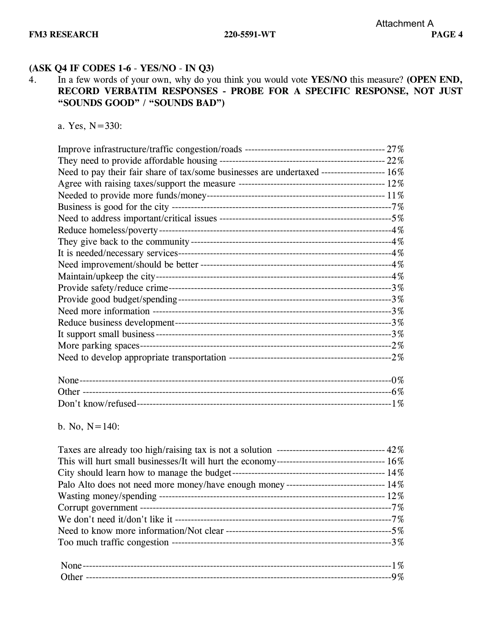# **(ASK Q4 IF CODES 1-6** - **YES/NO** - **IN Q3)**

4. In a few words of your own, why do you think you would vote **YES/NO** this measure? **(OPEN END, RECORD VERBATIM RESPONSES - PROBE FOR A SPECIFIC RESPONSE, NOT JUST "SOUNDS GOOD" / "SOUNDS BAD")**

a. Yes, N=330:

| Need to pay their fair share of tax/some businesses are undertaxed -------------------- 16% |  |
|---------------------------------------------------------------------------------------------|--|
|                                                                                             |  |
|                                                                                             |  |
|                                                                                             |  |
|                                                                                             |  |
|                                                                                             |  |
|                                                                                             |  |
|                                                                                             |  |
|                                                                                             |  |
|                                                                                             |  |
|                                                                                             |  |
|                                                                                             |  |
|                                                                                             |  |
|                                                                                             |  |
|                                                                                             |  |
|                                                                                             |  |
|                                                                                             |  |
|                                                                                             |  |
|                                                                                             |  |
|                                                                                             |  |

b. No,  $N=140$ :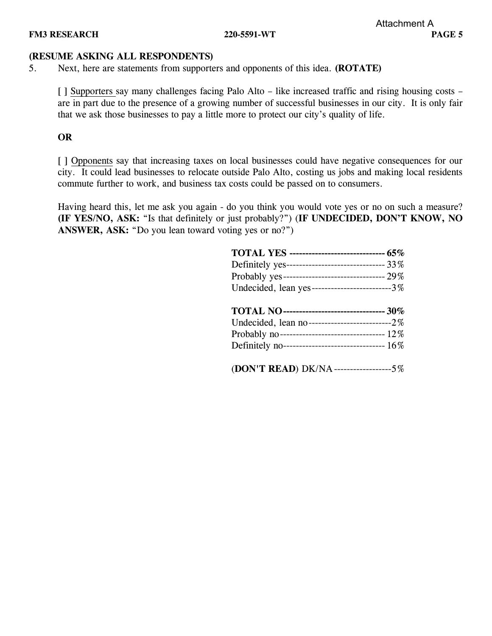5. Next, here are statements from supporters and opponents of this idea. **(ROTATE)**

[ ] Supporters say many challenges facing Palo Alto – like increased traffic and rising housing costs – are in part due to the presence of a growing number of successful businesses in our city. It is only fair that we ask those businesses to pay a little more to protect our city's quality of life.

**OR**

[ ] Opponents say that increasing taxes on local businesses could have negative consequences for our city. It could lead businesses to relocate outside Palo Alto, costing us jobs and making local residents commute further to work, and business tax costs could be passed on to consumers.

Having heard this, let me ask you again - do you think you would vote yes or no on such a measure? **(IF YES/NO, ASK:** "Is that definitely or just probably?") (**IF UNDECIDED, DON'T KNOW, NO ANSWER, ASK:** "Do you lean toward voting yes or no?")

| <b>TOTAL YES</b> ------------------------------ 65% |
|-----------------------------------------------------|
| Definitely yes------------------------------- 33%   |
|                                                     |
| Undecided, lean yes--------------------------3%     |
| TOTAL NO-------------------------------- 30%        |
|                                                     |
|                                                     |
| Definitely no--------------------------------- 16%  |
| (DON'T READ) DK/NA-------------------5%             |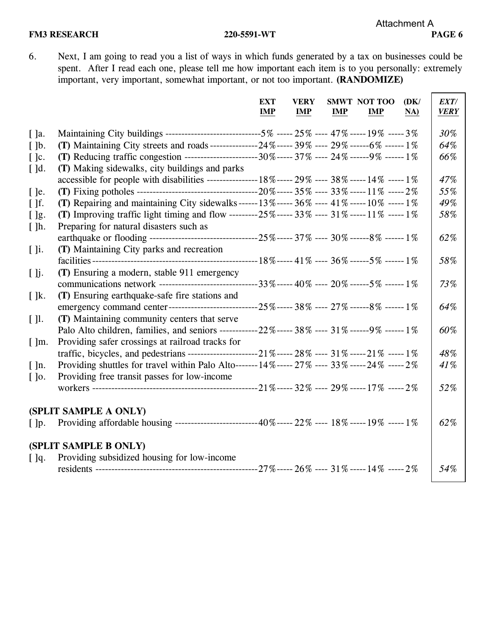6. Next, I am going to read you a list of ways in which funds generated by a tax on businesses could be spent. After I read each one, please tell me how important each item is to you personally: extremely important, very important, somewhat important, or not too important. **(RANDOMIZE)**

|                          |                                                                                                              | <b>EXT</b><br><b>IMP</b> | <b>VERY</b><br><b>IMP</b> | IMP | <b>SMWT NOT TOO</b><br>IMP | (DK/<br>NA) | EXT/<br><b>VERY</b> |
|--------------------------|--------------------------------------------------------------------------------------------------------------|--------------------------|---------------------------|-----|----------------------------|-------------|---------------------|
| $\lceil \cdot \rceil$ a. | Maintaining City buildings ------------------------------5% ----- 25% ---- 47% ----- 19% ----- 3%            |                          |                           |     |                            |             | 30%                 |
| $\lceil \cdot \rceil$    | (T) Maintaining City streets and roads----------------24%----- 39% ---- 29% ------6% ------1%                |                          |                           |     |                            |             | 64%                 |
| $[$ $]$ c.               | (T) Reducing traffic congestion ------------------------30%----- 37% ---- 24% ------9% ------ 1%             |                          |                           |     |                            |             | 66%                 |
| $\lceil$ $\lceil$ d.     | (T) Making sidewalks, city buildings and parks                                                               |                          |                           |     |                            |             |                     |
|                          | accessible for people with disabilities ----------------- 18%----- 29% ---- 38% ----- 14% ----- 1%           |                          |                           |     |                            |             | 47%                 |
| $[$ ]e.                  |                                                                                                              |                          |                           |     |                            |             | 55%                 |
| $\lceil \cdot \rceil$    | (T) Repairing and maintaining City sidewalks ------ $13\%$ ----- $36\%$ ---- $41\%$ ----- $10\%$ ----- $1\%$ |                          |                           |     |                            |             | 49%                 |
| $[$ $]$ g.               | (T) Improving traffic light timing and flow ---------25%----- 33% ---- 31% -----11% -----1%                  |                          |                           |     |                            |             | 58%                 |
| $\lceil \cdot \rceil$ h. | Preparing for natural disasters such as                                                                      |                          |                           |     |                            |             |                     |
|                          |                                                                                                              |                          |                           |     |                            |             | 62%                 |
| $[ ]$ i.                 | (T) Maintaining City parks and recreation                                                                    |                          |                           |     |                            |             |                     |
|                          |                                                                                                              |                          |                           |     |                            |             | 58%                 |
| [ ]j.                    | (T) Ensuring a modern, stable 911 emergency                                                                  |                          |                           |     |                            |             |                     |
|                          | communications network --------------------------------33%----- 40% ---- 20% ------5% ------ 1%              |                          |                           |     |                            |             | 73%                 |
| $\lceil \cdot \rceil$ k. | (T) Ensuring earthquake-safe fire stations and                                                               |                          |                           |     |                            |             |                     |
|                          |                                                                                                              |                          |                           |     |                            |             | 64%                 |
| [1]                      | (T) Maintaining community centers that serve                                                                 |                          |                           |     |                            |             |                     |
|                          | Palo Alto children, families, and seniors ------------ 22%----- 38% ---- 31% ------ 9% ------ 1%             |                          |                           |     |                            |             | 60%                 |
| $\lceil \cdot \rceil$ m. | Providing safer crossings at railroad tracks for                                                             |                          |                           |     |                            |             |                     |
|                          |                                                                                                              |                          |                           |     |                            |             | 48%                 |
| $\lceil \cdot \rceil$ n. | Providing shuttles for travel within Palo Alto-------14%----- 27% ----- 33% -----24% -----2%                 |                          |                           |     |                            |             | 41%                 |
| $[$ $]$ 0.               | Providing free transit passes for low-income                                                                 |                          |                           |     |                            |             |                     |
|                          |                                                                                                              |                          |                           |     |                            |             | 52%                 |
|                          |                                                                                                              |                          |                           |     |                            |             |                     |
|                          | (SPLIT SAMPLE A ONLY)                                                                                        |                          |                           |     |                            |             |                     |
| $\lceil \cdot \rceil$    | Providing affordable housing ---------------------------40%----- 22% ---- 18% ----- 19% ----- 1%             |                          |                           |     |                            |             | 62%                 |
|                          | (SPLIT SAMPLE B ONLY)                                                                                        |                          |                           |     |                            |             |                     |
| [ ]q.                    | Providing subsidized housing for low-income                                                                  |                          |                           |     |                            |             |                     |
|                          |                                                                                                              |                          |                           |     |                            |             | 54%                 |
|                          |                                                                                                              |                          |                           |     |                            |             |                     |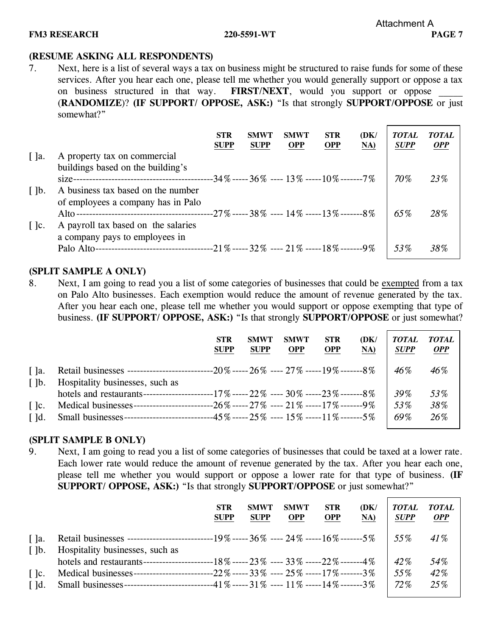7. Next, here is a list of several ways a tax on business might be structured to raise funds for some of these services. After you hear each one, please tell me whether you would generally support or oppose a tax on business structured in that way. **FIRST/NEXT**, would you support or oppose (**RANDOMIZE**)? **(IF SUPPORT/ OPPOSE, ASK:)** "Is that strongly **SUPPORT/OPPOSE** or just somewhat?"

|                                              |                                                                          | <b>STR</b><br><b>SUPP</b> | <b>SMWT</b><br><b>SUPP</b> | <b>SMWT</b><br><b>OPP</b> | <b>STR</b><br><b>OPP</b> | (DK)<br>NA) | <b>TOTAL</b><br><b>SUPP</b> | <b>TOTAL</b><br>OPP |
|----------------------------------------------|--------------------------------------------------------------------------|---------------------------|----------------------------|---------------------------|--------------------------|-------------|-----------------------------|---------------------|
| $\lceil$ $\rceil$ a.                         | A property tax on commercial<br>buildings based on the building's        |                           |                            |                           |                          |             | 70%                         | 23%                 |
| $\lceil \cdot \rceil$                        | A business tax based on the number<br>of employees a company has in Palo |                           |                            |                           |                          |             | 65%                         | 28%                 |
| $\lceil$ $\lceil$ $\lceil$ $\lceil$ $\lceil$ | A payroll tax based on the salaries<br>a company pays to employees in    |                           |                            |                           |                          |             | 53%                         | 38%                 |

### **(SPLIT SAMPLE A ONLY)**

8. Next, I am going to read you a list of some categories of businesses that could be exempted from a tax on Palo Alto businesses. Each exemption would reduce the amount of revenue generated by the tax. After you hear each one, please tell me whether you would support or oppose exempting that type of business. **(IF SUPPORT/ OPPOSE, ASK:)** "Is that strongly **SUPPORT/OPPOSE** or just somewhat?

|                                              |                                                                                            | <b>STR</b><br><b>SUPP</b> | <b>SMWT</b><br><b>SUPP</b> | <b>SMWT</b><br><b>OPP</b> | <b>STR</b><br><b>OPP</b> | (DK)<br>NA) | <b>TOTAL</b><br><b>SUPP</b> | TOTAL<br><b>OPP</b> |
|----------------------------------------------|--------------------------------------------------------------------------------------------|---------------------------|----------------------------|---------------------------|--------------------------|-------------|-----------------------------|---------------------|
| $\lceil$ $\rceil$ a.<br>$\lceil \,\rceil b$  | Hospitality businesses, such as                                                            |                           |                            |                           |                          |             | 46%                         | 46%                 |
|                                              |                                                                                            |                           |                            |                           |                          |             | 39%                         | 53%                 |
| $\lceil$ $\lceil$ $\lceil$ $\lceil$ $\lceil$ | Medical businesses----------------------------26% ----- 27% ----- 21% -----17% -------- 9% |                           |                            |                           |                          |             | 53%                         | 38%                 |
| $\lceil$ $\lceil$ d.                         | Small businesses---------------------------45% ----- 25% ---- 15% -----11% -------5%       |                           |                            |                           |                          |             | 69%                         | 26%                 |

### **(SPLIT SAMPLE B ONLY)**

9. Next, I am going to read you a list of some categories of businesses that could be taxed at a lower rate. Each lower rate would reduce the amount of revenue generated by the tax. After you hear each one, please tell me whether you would support or oppose a lower rate for that type of business. **(IF SUPPORT/ OPPOSE, ASK:)** "Is that strongly **SUPPORT/OPPOSE** or just somewhat?"

|                                               |                                                                                        | <b>STR</b><br><b>SUPP</b> | <b>SMWT</b><br><b>SUPP</b> | <b>SMWT</b><br><b>OPP</b> | <b>STR</b><br><b>OPP</b> | (DK)<br>NA) | <b>TOTAL</b><br><b>SUPP</b> | <b>TOTAL</b><br><b>OPP</b> |
|-----------------------------------------------|----------------------------------------------------------------------------------------|---------------------------|----------------------------|---------------------------|--------------------------|-------------|-----------------------------|----------------------------|
| $\lceil$ $\rceil$ a.<br>$\lceil \cdot \rceil$ | Hospitality businesses, such as                                                        |                           |                            |                           |                          |             | $-55\%$                     | $41\%$                     |
|                                               |                                                                                        |                           |                            |                           |                          |             | 42\%                        | 54%                        |
| $\lceil \cdot \rceil$ c.                      | Medical businesses---------------------------22% ----- 33% ---- 25% -----17% -------3% |                           |                            |                           |                          |             | 55%                         | 42%                        |
| $\lceil$ $\lceil$ d.                          | Small businesses---------------------------41% ----- 31% ---- 11% -----14% -------3%   |                           |                            |                           |                          |             | 72%                         | 25%                        |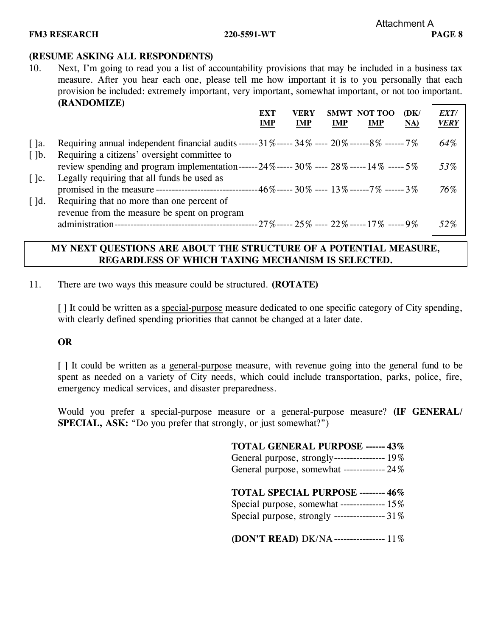10. Next, I'm going to read you a list of accountability provisions that may be included in a business tax measure. After you hear each one, please tell me how important it is to you personally that each provision be included: extremely important, very important, somewhat important, or not too important. **(RANDOMIZE)**  $\overline{\phantom{0}}$ 

|                          |                                                                                                                                                   | <b>EXT</b><br><b>IMP</b> | VERY<br><b>IMP</b> | <b>SMWT</b><br>IMP | NOT TOO<br><b>IMP</b>                      | (DK)<br>NA) | EXT/<br><b>VERY</b> |
|--------------------------|---------------------------------------------------------------------------------------------------------------------------------------------------|--------------------------|--------------------|--------------------|--------------------------------------------|-------------|---------------------|
| $\lceil$ $\rceil$ a.     | Requiring annual independent financial audits ------31% ----- 34% ----- 20% ------8% ------ 7%                                                    |                          |                    |                    |                                            |             | 64%                 |
| $\lceil \cdot \rceil$    | Requiring a citizens' oversight committee to<br>review spending and program implementation------24%----- 30% ---- 28% ----- 14% ----- 5%          |                          |                    |                    |                                            |             | 53%                 |
| $\lceil \cdot \rceil$ c. | Legally requiring that all funds be used as<br>promised in the measure --------------------------------46%----- 30% ----- 13% ------ 7% ------ 3% |                          |                    |                    |                                            |             | 76%                 |
| $\lceil$ $\lceil$ d.     | Requiring that no more than one percent of                                                                                                        |                          |                    |                    |                                            |             |                     |
|                          | revenue from the measure be spent on program<br>administration-                                                                                   |                          |                    |                    | --27%------ 25% ---- 22%----- 17% ----- 9% |             | 52%                 |

## **MY NEXT QUESTIONS ARE ABOUT THE STRUCTURE OF A POTENTIAL MEASURE, REGARDLESS OF WHICH TAXING MECHANISM IS SELECTED.**

11. There are two ways this measure could be structured. **(ROTATE)**

[] It could be written as a special-purpose measure dedicated to one specific category of City spending, with clearly defined spending priorities that cannot be changed at a later date.

### **OR**

[] It could be written as a general-purpose measure, with revenue going into the general fund to be spent as needed on a variety of City needs, which could include transportation, parks, police, fire, emergency medical services, and disaster preparedness.

Would you prefer a special-purpose measure or a general-purpose measure? **(IF GENERAL/ SPECIAL, ASK:** "Do you prefer that strongly, or just somewhat?")

| <b>TOTAL GENERAL PURPOSE ------ 43%</b>         |
|-------------------------------------------------|
| General purpose, strongly------------------ 19% |
| General purpose, somewhat ------------- 24%     |
|                                                 |
| TOTAL SPECIAL PURPOSE -------- 46%              |
| Special purpose, somewhat -------------- 15%    |
| Special purpose, strongly ---------------- 31%  |
|                                                 |
| (DON'T READ) DK/NA---------------- 11%          |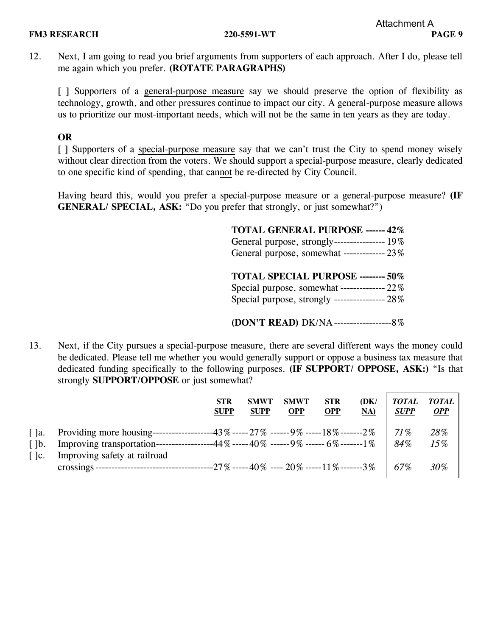12. Next, I am going to read you brief arguments from supporters of each approach. After I do, please tell me again which you prefer. **(ROTATE PARAGRAPHS)**

[ ] Supporters of a general-purpose measure say we should preserve the option of flexibility as technology, growth, and other pressures continue to impact our city. A general-purpose measure allows us to prioritize our most-important needs, which will not be the same in ten years as they are today.

## **OR**

[ ] Supporters of a special-purpose measure say that we can't trust the City to spend money wisely without clear direction from the voters. We should support a special-purpose measure, clearly dedicated to one specific kind of spending, that cannot be re-directed by City Council.

Having heard this, would you prefer a special-purpose measure or a general-purpose measure? **(IF GENERAL/ SPECIAL, ASK: "Do you prefer that strongly, or just somewhat?")** 

| <b>TOTAL GENERAL PURPOSE ------ 42%</b>         |
|-------------------------------------------------|
| General purpose, strongly------------------ 19% |
| General purpose, somewhat ------------- 23%     |
|                                                 |
|                                                 |
| TOTAL SPECIAL PURPOSE -------- 50%              |
| Special purpose, somewhat --------------- 22%   |
| Special purpose, strongly ---------------- 28%  |

**(DON'T READ)** DK/NA------------------8%

13. Next, if the City pursues a special-purpose measure, there are several different ways the money could be dedicated. Please tell me whether you would generally support or oppose a business tax measure that dedicated funding specifically to the following purposes. **(IF SUPPORT/ OPPOSE, ASK:)** "Is that

| dedicated funding specifically to the following purposes. (IF SUFFUNT/ UFFUSE, ASN:) is that<br>strongly <b>SUPPORT/OPPOSE</b> or just somewhat? |                           |             |                         |                          |             |                            |                   |  |
|--------------------------------------------------------------------------------------------------------------------------------------------------|---------------------------|-------------|-------------------------|--------------------------|-------------|----------------------------|-------------------|--|
|                                                                                                                                                  | <b>STR</b><br><b>SUPP</b> | <b>SUPP</b> | SMWT SMWT<br><b>OPP</b> | <b>STR</b><br><b>OPP</b> | (DK/<br>NA) | TOTAL TOTAL<br><b>SUPP</b> | <i><b>OPP</b></i> |  |

| I la.                                                                                                                                                                                                                                                                                                                                        | -----------43% ----- 27%  ------ 9% ----- 18% -------2%<br>Providing more housing------- | 71 % | 28% |
|----------------------------------------------------------------------------------------------------------------------------------------------------------------------------------------------------------------------------------------------------------------------------------------------------------------------------------------------|------------------------------------------------------------------------------------------|------|-----|
| $\lceil \,\rceil b$ .                                                                                                                                                                                                                                                                                                                        | ----44% ----- 40% ------ 9% ------ 6% ------- 1%<br>Improving transportation--           | 84%  | 15% |
| $\lceil$ $\lceil$ $\lceil$ $\lceil$ $\lceil$ $\lceil$ $\lceil$ $\lceil$ $\lceil$ $\lceil$ $\lceil$ $\lceil$ $\lceil$ $\lceil$ $\lceil$ $\lceil$ $\lceil$ $\lceil$ $\lceil$ $\lceil$ $\lceil$ $\lceil$ $\lceil$ $\lceil$ $\lceil$ $\lceil$ $\lceil$ $\lceil$ $\lceil$ $\lceil$ $\lceil$ $\lceil$ $\lceil$ $\lceil$ $\lceil$ $\lceil$ $\lceil$ | Improving safety at railroad                                                             |      |     |
|                                                                                                                                                                                                                                                                                                                                              | ---27% ----- 40%  ---- 20% ----- 11% -------3%<br>crossings --------------------------   | 67%  | 30% |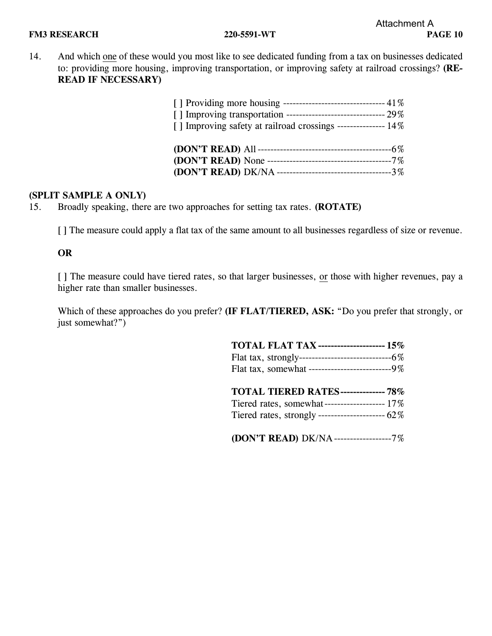14. And which one of these would you most like to see dedicated funding from a tax on businesses dedicated to: providing more housing, improving transportation, or improving safety at railroad crossings? **(RE-READ IF NECESSARY)**

| [ ] Providing more housing -------------------------------- 41% |  |
|-----------------------------------------------------------------|--|
|                                                                 |  |
| [] Improving safety at railroad crossings ---------------- 14%  |  |
|                                                                 |  |
|                                                                 |  |
|                                                                 |  |
|                                                                 |  |

## **(SPLIT SAMPLE A ONLY)**

15. Broadly speaking, there are two approaches for setting tax rates. **(ROTATE)**

[] The measure could apply a flat tax of the same amount to all businesses regardless of size or revenue.

### **OR**

[] The measure could have tiered rates, so that larger businesses, or those with higher revenues, pay a higher rate than smaller businesses.

Which of these approaches do you prefer? **(IF FLAT/TIERED, ASK:** "Do you prefer that strongly, or just somewhat?")

| <b>TOTAL FLAT TAX -------------------- 15%</b>  |
|-------------------------------------------------|
|                                                 |
| Flat tax, somewhat --------------------------9% |
|                                                 |
| TOTAL TIERED RATES-------------- 78%            |
|                                                 |
| Tiered rates, somewhat-------------------- 17%  |
|                                                 |

**(DON'T READ)** DK/NA------------------7%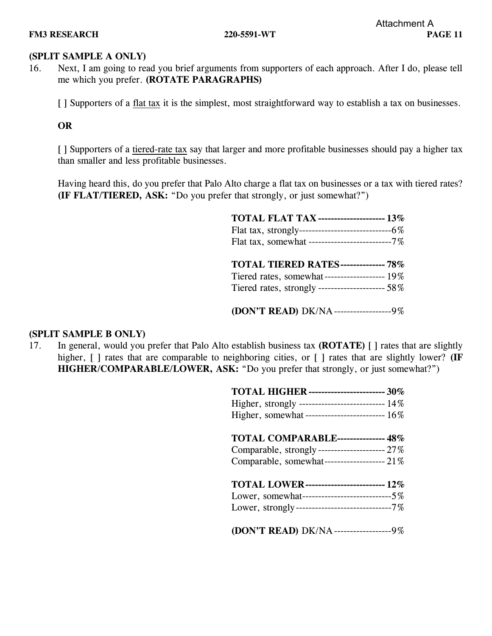## **(SPLIT SAMPLE A ONLY)**

16. Next, I am going to read you brief arguments from supporters of each approach. After I do, please tell me which you prefer. **(ROTATE PARAGRAPHS)**

[ ] Supporters of a flat tax it is the simplest, most straightforward way to establish a tax on businesses.

**OR**

[] Supporters of a tiered-rate tax say that larger and more profitable businesses should pay a higher tax than smaller and less profitable businesses.

Having heard this, do you prefer that Palo Alto charge a flat tax on businesses or a tax with tiered rates? **(IF FLAT/TIERED, ASK:** "Do you prefer that strongly, or just somewhat?")

| <b>TOTAL FLAT TAX -------------------- 13%</b>   |
|--------------------------------------------------|
|                                                  |
| Flat tax, somewhat --------------------------7%  |
|                                                  |
| <b>TOTAL TIERED RATES-------------- 78%</b>      |
| Tiered rates, somewhat------------------- 19%    |
| Tiered rates, strongly --------------------- 58% |
|                                                  |
| (DON'T READ) DK/NA---------------------9%        |

### **(SPLIT SAMPLE B ONLY)**

17. In general, would you prefer that Palo Alto establish business tax **(ROTATE)** [ ] rates that are slightly higher,  $\lceil \cdot \rceil$  rates that are comparable to neighboring cities, or  $\lceil \cdot \rceil$  rates that are slightly lower? **(IF HIGHER/COMPARABLE/LOWER, ASK:** "Do you prefer that strongly, or just somewhat?")

| <b>TOTAL HIGHER</b> ------------------------ 30%                                                                                                                                              |
|-----------------------------------------------------------------------------------------------------------------------------------------------------------------------------------------------|
| TOTAL COMPARABLE--------------- 48%<br>Comparable, somewhat------------------- 21%                                                                                                            |
| <b>TOTAL LOWER------------------------ 12%</b><br>Lower, somewhat-----------------------------5%<br>Lower, strongly-----------------------------7%<br>(DON'T READ) DK/NA-------------------9% |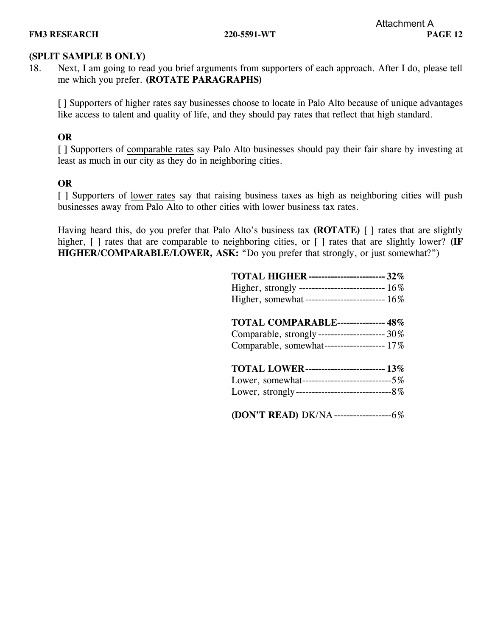## **(SPLIT SAMPLE B ONLY)**

18. Next, I am going to read you brief arguments from supporters of each approach. After I do, please tell me which you prefer. **(ROTATE PARAGRAPHS)**

[ ] Supporters of higher rates say businesses choose to locate in Palo Alto because of unique advantages like access to talent and quality of life, and they should pay rates that reflect that high standard.

## **OR**

[ ] Supporters of comparable rates say Palo Alto businesses should pay their fair share by investing at least as much in our city as they do in neighboring cities.

## **OR**

[ ] Supporters of lower rates say that raising business taxes as high as neighboring cities will push businesses away from Palo Alto to other cities with lower business tax rates.

Having heard this, do you prefer that Palo Alto's business tax **(ROTATE)** [ ] rates that are slightly higher,  $\lceil \cdot \rceil$  rates that are comparable to neighboring cities, or  $\lceil \cdot \rceil$  rates that are slightly lower? **(IF HIGHER/COMPARABLE/LOWER, ASK:** "Do you prefer that strongly, or just somewhat?")

| <b>TOTAL HIGHER ----------------------- 32%</b>      |
|------------------------------------------------------|
| Higher, strongly ---------------------------- $16\%$ |
| Higher, somewhat ------------------------- 16%       |
| <b>TOTAL COMPARABLE--------------- 48%</b>           |
| Comparable, strongly--------------------- 30%        |
| Comparable, somewhat------------------ 17%           |
| <b>TOTAL LOWER------------------------ 13%</b>       |
| Lower, somewhat-----------------------------5%       |
|                                                      |
| (DON'T READ) DK/NA----------------------6%           |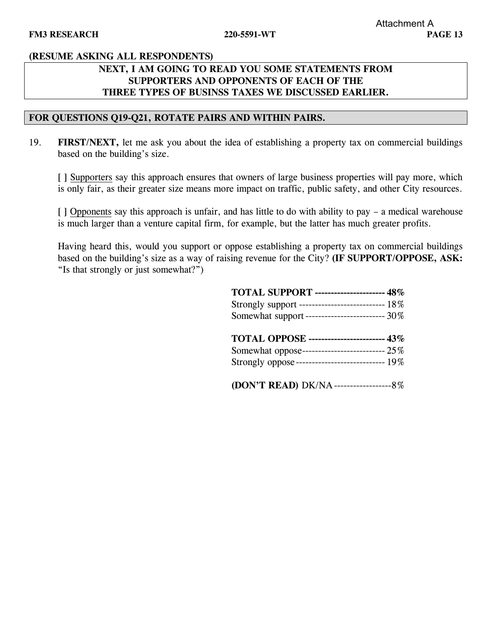## **NEXT, I AM GOING TO READ YOU SOME STATEMENTS FROM SUPPORTERS AND OPPONENTS OF EACH OF THE THREE TYPES OF BUSINSS TAXES WE DISCUSSED EARLIER.**

### **FOR QUESTIONS Q19-Q21, ROTATE PAIRS AND WITHIN PAIRS.**

19. **FIRST/NEXT,** let me ask you about the idea of establishing a property tax on commercial buildings based on the building's size.

[ ] Supporters say this approach ensures that owners of large business properties will pay more, which is only fair, as their greater size means more impact on traffic, public safety, and other City resources.

[ ] Opponents say this approach is unfair, and has little to do with ability to pay – a medical warehouse is much larger than a venture capital firm, for example, but the latter has much greater profits.

Having heard this, would you support or oppose establishing a property tax on commercial buildings based on the building's size as a way of raising revenue for the City? **(IF SUPPORT/OPPOSE, ASK:** "Is that strongly or just somewhat?")

| <b>TOTAL SUPPORT --------------------- 48%</b>   |
|--------------------------------------------------|
| Strongly support --------------------------- 18% |
| Somewhat support ------------------------ 30%    |
| <b>TOTAL OPPOSE ----------------------- 43%</b>  |
| Somewhat oppose-------------------------- 25%    |
| Strongly oppose --------------------------- 19%  |
| (DON'T READ) DK/NA----------------------8%       |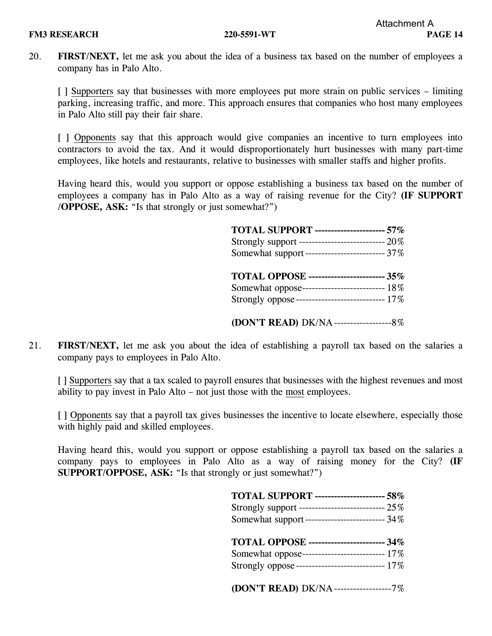20. **FIRST/NEXT,** let me ask you about the idea of a business tax based on the number of employees a company has in Palo Alto.

[ ] Supporters say that businesses with more employees put more strain on public services – limiting parking, increasing traffic, and more. This approach ensures that companies who host many employees in Palo Alto still pay their fair share.

[ ] Opponents say that this approach would give companies an incentive to turn employees into contractors to avoid the tax. And it would disproportionately hurt businesses with many part-time employees, like hotels and restaurants, relative to businesses with smaller staffs and higher profits.

Having heard this, would you support or oppose establishing a business tax based on the number of employees a company has in Palo Alto as a way of raising revenue for the City? **(IF SUPPORT /OPPOSE, ASK:** "Is that strongly or just somewhat?")

| <b>TOTAL SUPPORT --------------------- 57%</b>     |
|----------------------------------------------------|
| Strongly support ----------------------------- 20% |
| Somewhat support ------------------------- 37%     |
| TOTAL OPPOSE ------------------------ 35%          |
| Somewhat oppose--------------------------- 18%     |
| Strongly oppose---------------------------- 17%    |
| (DON'T READ) DK/NA------------------------8%       |

21. **FIRST/NEXT,** let me ask you about the idea of establishing a payroll tax based on the salaries a company pays to employees in Palo Alto.

[ ] Supporters say that a tax scaled to payroll ensures that businesses with the highest revenues and most ability to pay invest in Palo Alto – not just those with the most employees.

[ ] Opponents say that a payroll tax gives businesses the incentive to locate elsewhere, especially those with highly paid and skilled employees.

Having heard this, would you support or oppose establishing a payroll tax based on the salaries a company pays to employees in Palo Alto as a way of raising money for the City? **(IF SUPPORT/OPPOSE, ASK:** "Is that strongly or just somewhat?")

| TOTAL SUPPORT ---------------------- 58%          |
|---------------------------------------------------|
| Strongly support ---------------------------- 25% |
| Somewhat support------------------------- 34%     |
| TOTAL OPPOSE ------------------------ 34%         |
| Somewhat oppose--------------------------- 17%    |
| Strongly oppose---------------------------- 17%   |
| (DON'T READ) DK/NA-----------------7%             |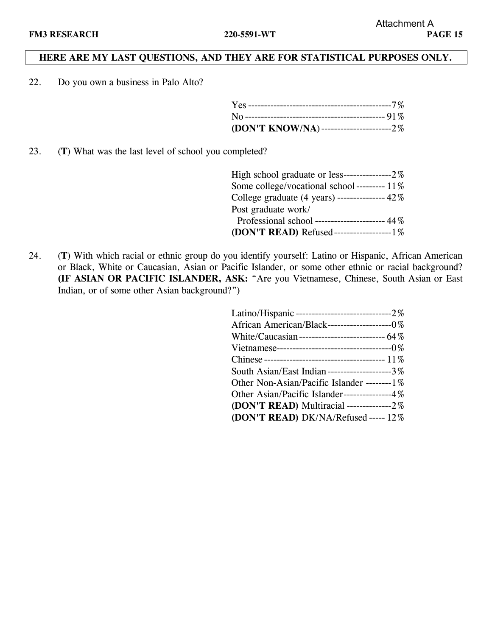## **HERE ARE MY LAST QUESTIONS, AND THEY ARE FOR STATISTICAL PURPOSES ONLY.**

22. Do you own a business in Palo Alto?

| (DON'T KNOW/NA)------------------------2% |  |
|-------------------------------------------|--|

23. (**T**) What was the last level of school you completed?

| High school graduate or less-----------------2%         |  |
|---------------------------------------------------------|--|
| Some college/vocational school --------- 11%            |  |
| College graduate $(4 \text{ years})$ -------------- 42% |  |
| Post graduate work/                                     |  |
| Professional school ---------------------- 44%          |  |
| (DON'T READ) Refused-------------------1%               |  |

24. (**T**) With which racial or ethnic group do you identify yourself: Latino or Hispanic, African American or Black, White or Caucasian, Asian or Pacific Islander, or some other ethnic or racial background? **(IF ASIAN OR PACIFIC ISLANDER, ASK:** "Are you Vietnamese, Chinese, South Asian or East Indian, or of some other Asian background?")

| African American/Black----------------------0%  |
|-------------------------------------------------|
| White/Caucasian---------------------------- 64% |
|                                                 |
|                                                 |
| South Asian/East Indian-------------------3%    |
| Other Non-Asian/Pacific Islander --------1%     |
| Other Asian/Pacific Islander--------------4%    |
| (DON'T READ) Multiracial --------------2%       |
| (DON'T READ) DK/NA/Refused ----- 12%            |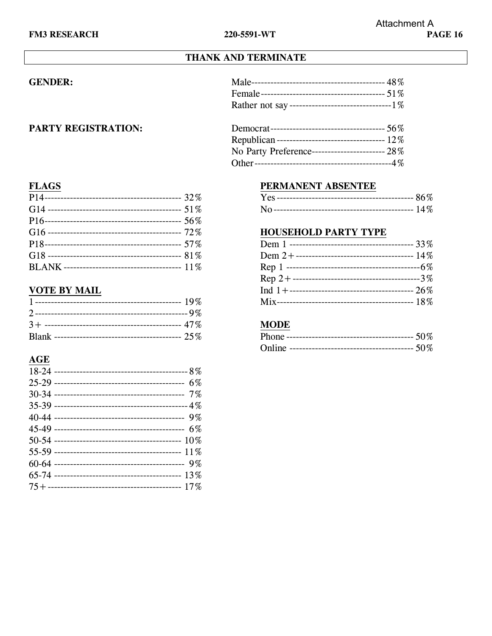# THANK AND TERMINATE

## **GENDER:**

### PARTY REGISTRATION:

| Republican ----------------------------------- 12%     |
|--------------------------------------------------------|
| No Party Preference-------------------------- $28\,\%$ |
|                                                        |
|                                                        |

## **FLAGS**

## **VOTE BY MAIL**

# $AGE$

## PERMANENT ABSENTEE

### **HOUSEHOLD PARTY TYPE**

### **MODE**